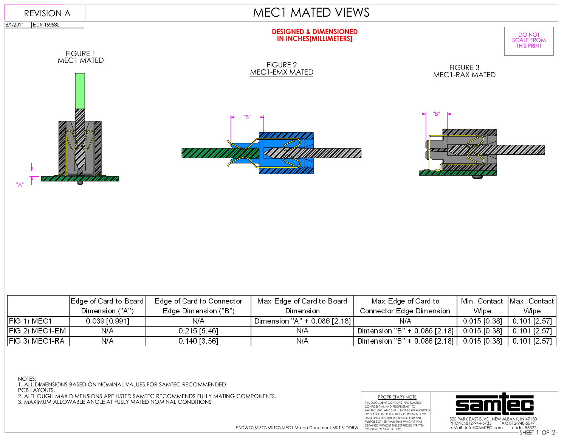

|                                | Edge of Card to Board | Edge of Card to Connector | Max Edge of Card to Board    | Max Edge of Card to                                         | Min. Contact  Max. Contact |              |
|--------------------------------|-----------------------|---------------------------|------------------------------|-------------------------------------------------------------|----------------------------|--------------|
|                                | Dimension ("A")       | Edge Dimension ("B")      | Dimension                    | Connector Edge Dimension                                    | Wipe                       | Wipe         |
| IFIG 1) MEC1                   | 0.039 [0.991]         | N/A                       | Dimension "A" + 0.086 [2.18] | N/A                                                         | 0.015 [0.38]               | 0.101 [2.57] |
| $\vert$ FIG 2) MEC1-EM $\vert$ | N/A                   | $0.215$ [5.46]            | N/A                          | ! Dimension "B" + 0.086 [2.18]   0.015 [0.38]  0.101 [2.57] |                            |              |
| ∣∣FIG 3) MEC1-RA ∣             | N/A                   | $0.140$ [3.56]            | N/A                          | Dimension "B" + 0.086 [2.18]   0.015 [0.38]                 |                            | 0.101 [2.57] |

NOTES:

1. ALL DIMENSIONS BASED ON NOMINAL VALUES FOR SAMTEC RECOMMENDED

PCB LAYOUTS.

2. ALTHOUGH MAX DIMENSIONS ARE LISTED SAMTEC RECOMMENDS FULLY MATING COMPONENTS.<br>3. MAXIMUM ALLOWABLE ANGLE AT FULLY MATED NOMINAL CONDITIONS





e-Mail info@SAMTEC.com